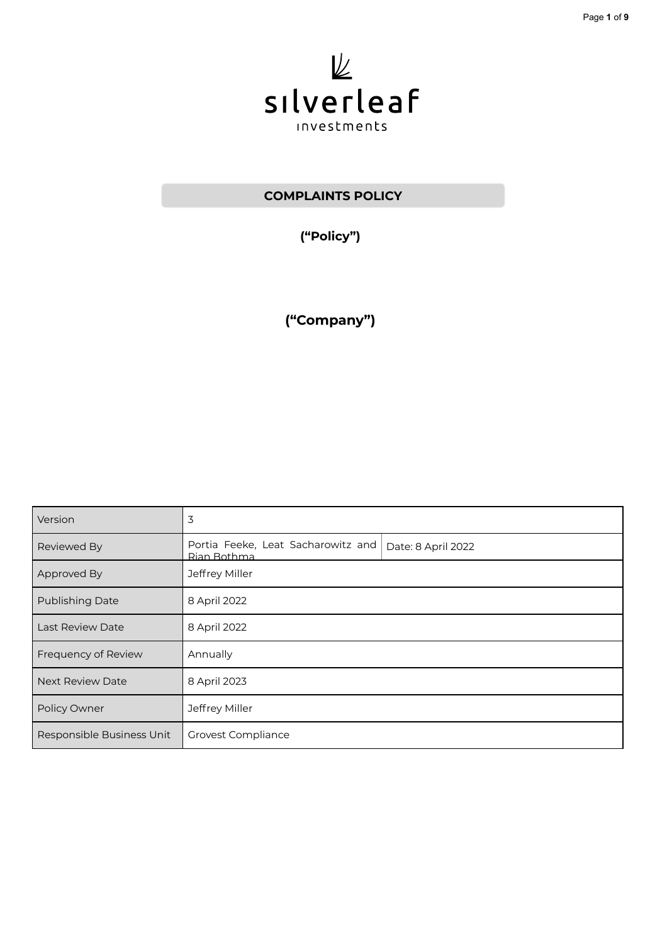

# **COMPLAINTS POLICY**

**("Policy")**

**("Company")**

| Version                   | 3                                                 |                    |
|---------------------------|---------------------------------------------------|--------------------|
| Reviewed By               | Portia Feeke, Leat Sacharowitz and<br>Rian Bothma | Date: 8 April 2022 |
| Approved By               | Jeffrey Miller                                    |                    |
| <b>Publishing Date</b>    | 8 April 2022                                      |                    |
| <b>Last Review Date</b>   | 8 April 2022                                      |                    |
| Frequency of Review       | Annually                                          |                    |
| <b>Next Review Date</b>   | 8 April 2023                                      |                    |
| Policy Owner              | Jeffrey Miller                                    |                    |
| Responsible Business Unit | Grovest Compliance                                |                    |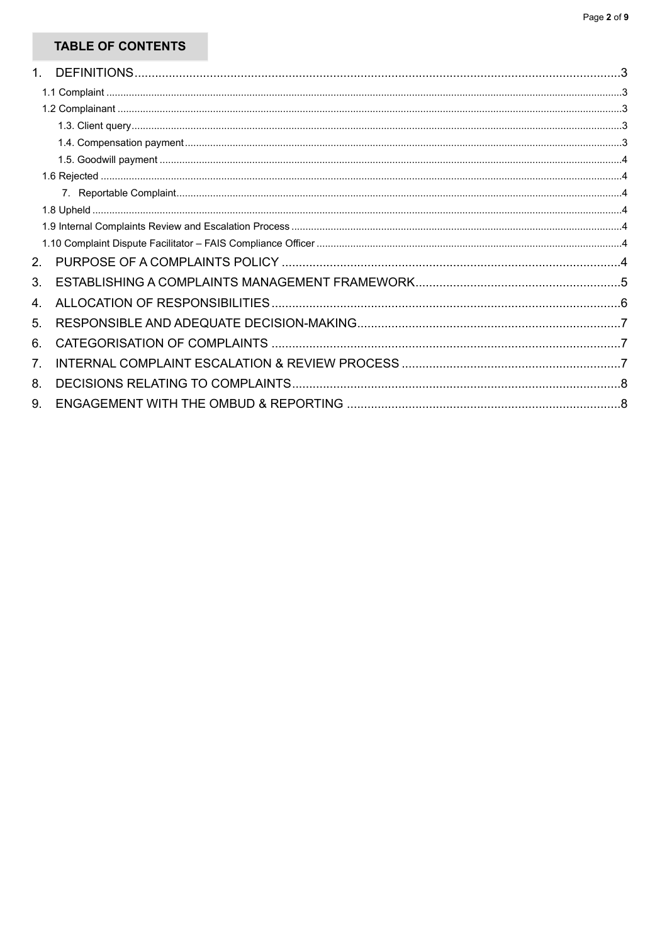# **TABLE OF CONTENTS**

| 1. |  |
|----|--|
|    |  |
|    |  |
|    |  |
|    |  |
|    |  |
|    |  |
|    |  |
|    |  |
|    |  |
|    |  |
| 2. |  |
| 3. |  |
| 4. |  |
| 5. |  |
| 6. |  |
| 7. |  |
| 8. |  |
| 9. |  |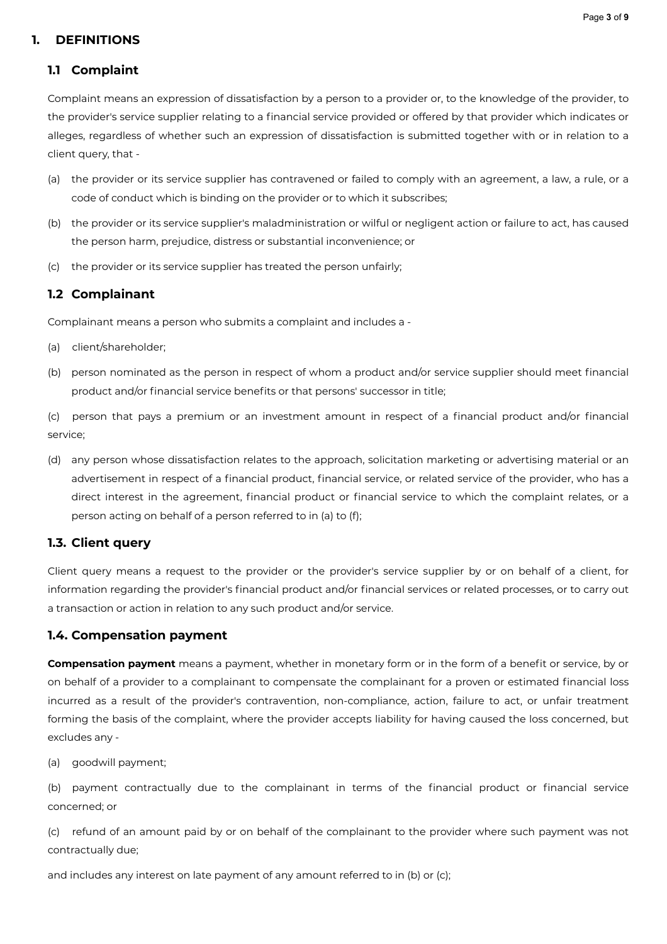#### Page **3** of **9**

#### <span id="page-2-0"></span>**1. DEFINITIONS**

#### <span id="page-2-1"></span>**1.1 Complaint**

Complaint means an expression of dissatisfaction by a person to a provider or, to the knowledge of the provider, to the provider's service supplier relating to a financial service provided or offered by that provider which indicates or alleges, regardless of whether such an expression of dissatisfaction is submitted together with or in relation to a client query, that -

- (a) the provider or its service supplier has contravened or failed to comply with an agreement, a law, a rule, or a code of conduct which is binding on the provider or to which it subscribes;
- (b) the provider or its service supplier's maladministration or wilful or negligent action or failure to act, has caused the person harm, prejudice, distress or substantial inconvenience; or
- (c) the provider or its service supplier has treated the person unfairly;

#### <span id="page-2-2"></span>**1.2 Complainant**

Complainant means a person who submits a complaint and includes a -

- (a) client/shareholder;
- (b) person nominated as the person in respect of whom a product and/or service supplier should meet financial product and/or financial service benefits or that persons' successor in title;

(c) person that pays a premium or an investment amount in respect of a financial product and/or financial service;

(d) any person whose dissatisfaction relates to the approach, solicitation marketing or advertising material or an advertisement in respect of a financial product, financial service, or related service of the provider, who has a direct interest in the agreement, financial product or financial service to which the complaint relates, or a person acting on behalf of a person referred to in (a) to (f);

#### <span id="page-2-3"></span>**1.3. Client query**

Client query means a request to the provider or the provider's service supplier by or on behalf of a client, for information regarding the provider's financial product and/or financial services or related processes, or to carry out a transaction or action in relation to any such product and/or service.

#### <span id="page-2-4"></span>**1.4. Compensation payment**

**Compensation payment** means a payment, whether in monetary form or in the form of a benefit or service, by or on behalf of a provider to a complainant to compensate the complainant for a proven or estimated financial loss incurred as a result of the provider's contravention, non-compliance, action, failure to act, or unfair treatment forming the basis of the complaint, where the provider accepts liability for having caused the loss concerned, but excludes any -

(a) goodwill payment;

(b) payment contractually due to the complainant in terms of the financial product or financial service concerned; or

(c) refund of an amount paid by or on behalf of the complainant to the provider where such payment was not contractually due;

and includes any interest on late payment of any amount referred to in (b) or (c);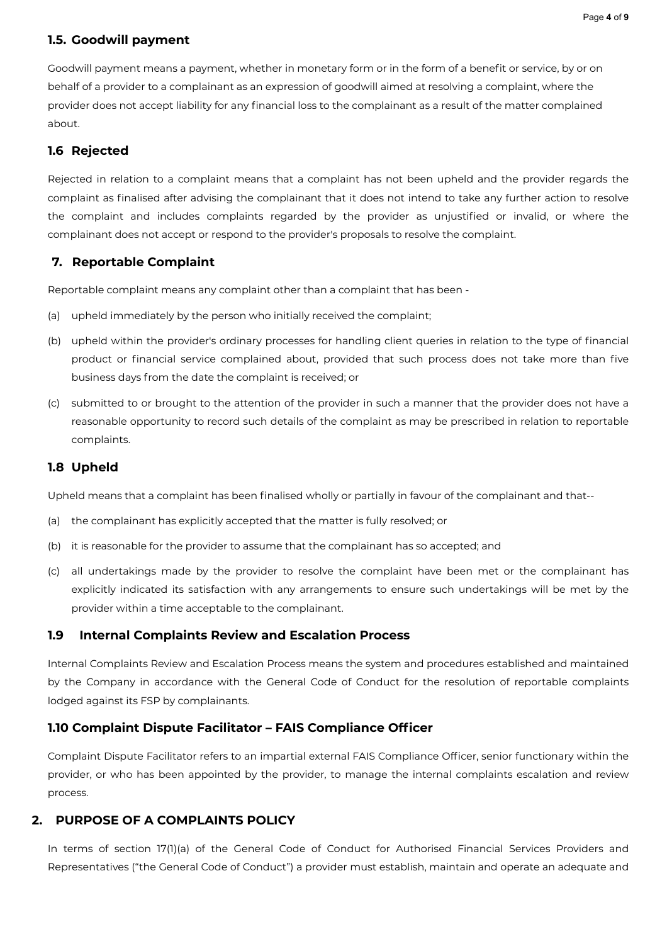#### <span id="page-3-0"></span>**1.5. Goodwill payment**

Goodwill payment means a payment, whether in monetary form or in the form of a benefit or service, by or on behalf of a provider to a complainant as an expression of goodwill aimed at resolving a complaint, where the provider does not accept liability for any financial loss to the complainant as a result of the matter complained about.

### <span id="page-3-1"></span>**1.6 Rejected**

Rejected in relation to a complaint means that a complaint has not been upheld and the provider regards the complaint as finalised after advising the complainant that it does not intend to take any further action to resolve the complaint and includes complaints regarded by the provider as unjustified or invalid, or where the complainant does not accept or respond to the provider's proposals to resolve the complaint.

## <span id="page-3-2"></span>**7. Reportable Complaint**

Reportable complaint means any complaint other than a complaint that has been -

- (a) upheld immediately by the person who initially received the complaint;
- (b) upheld within the provider's ordinary processes for handling client queries in relation to the type of financial product or financial service complained about, provided that such process does not take more than five business days from the date the complaint is received; or
- (c) submitted to or brought to the attention of the provider in such a manner that the provider does not have a reasonable opportunity to record such details of the complaint as may be prescribed in relation to reportable complaints.

#### <span id="page-3-3"></span>**1.8 Upheld**

Upheld means that a complaint has been finalised wholly or partially in favour of the complainant and that--

- (a) the complainant has explicitly accepted that the matter is fully resolved; or
- (b) it is reasonable for the provider to assume that the complainant has so accepted; and
- (c) all undertakings made by the provider to resolve the complaint have been met or the complainant has explicitly indicated its satisfaction with any arrangements to ensure such undertakings will be met by the provider within a time acceptable to the complainant.

#### <span id="page-3-4"></span>**1.9 Internal Complaints Review and Escalation Process**

Internal Complaints Review and Escalation Process means the system and procedures established and maintained by the Company in accordance with the General Code of Conduct for the resolution of reportable complaints lodged against its FSP by complainants.

#### <span id="page-3-5"></span>**1.10 Complaint Dispute Facilitator – FAIS Compliance Officer**

Complaint Dispute Facilitator refers to an impartial external FAIS Compliance Officer, senior functionary within the provider, or who has been appointed by the provider, to manage the internal complaints escalation and review process.

#### <span id="page-3-6"></span>**2. PURPOSE OF A COMPLAINTS POLICY**

In terms of section 17(1)(a) of the General Code of Conduct for Authorised Financial Services Providers and Representatives ("the General Code of Conduct") a provider must establish, maintain and operate an adequate and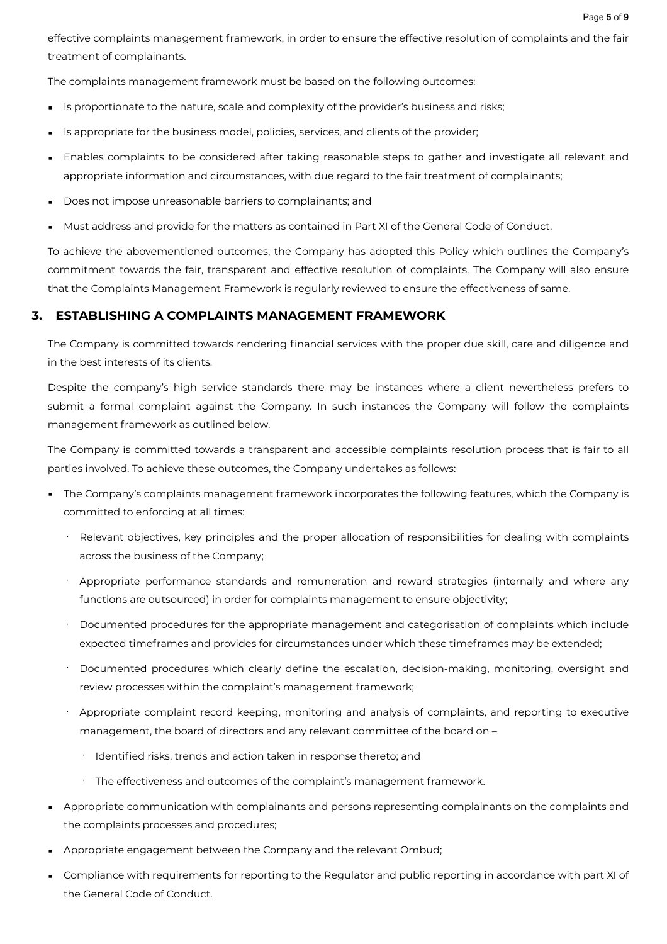effective complaints management framework, in order to ensure the effective resolution of complaints and the fair treatment of complainants.

The complaints management framework must be based on the following outcomes:

- **EXECT** Is proportionate to the nature, scale and complexity of the provider's business and risks;
- **EXECT:** Is appropriate for the business model, policies, services, and clients of the provider;
- Enables complaints to be considered after taking reasonable steps to gather and investigate all relevant and appropriate information and circumstances, with due regard to the fair treatment of complainants;
- Does not impose unreasonable barriers to complainants; and
- Must address and provide for the matters as contained in Part XI of the General Code of Conduct.

To achieve the abovementioned outcomes, the Company has adopted this Policy which outlines the Company's commitment towards the fair, transparent and effective resolution of complaints. The Company will also ensure that the Complaints Management Framework is regularly reviewed to ensure the effectiveness of same.

#### <span id="page-4-0"></span>**3. ESTABLISHING A COMPLAINTS MANAGEMENT FRAMEWORK**

The Company is committed towards rendering financial services with the proper due skill, care and diligence and in the best interests of its clients.

Despite the company's high service standards there may be instances where a client nevertheless prefers to submit a formal complaint against the Company. In such instances the Company will follow the complaints management framework as outlined below.

The Company is committed towards a transparent and accessible complaints resolution process that is fair to all parties involved. To achieve these outcomes, the Company undertakes as follows:

- The Company's complaints management framework incorporates the following features, which the Company is committed to enforcing at all times:
	- Relevant objectives, key principles and the proper allocation of responsibilities for dealing with complaints across the business of the Company;
	- Appropriate performance standards and remuneration and reward strategies (internally and where any functions are outsourced) in order for complaints management to ensure objectivity;
	- · Documented procedures for the appropriate management and categorisation of complaints which include expected timeframes and provides for circumstances under which these timeframes may be extended;
	- Documented procedures which clearly define the escalation, decision-making, monitoring, oversight and review processes within the complaint's management framework;
	- Appropriate complaint record keeping, monitoring and analysis of complaints, and reporting to executive management, the board of directors and any relevant committee of the board on –
		- · Identified risks, trends and action taken in response thereto; and
		- The effectiveness and outcomes of the complaint's management framework.
- **•** Appropriate communication with complainants and persons representing complainants on the complaints and the complaints processes and procedures;
- **EXP** Appropriate engagement between the Company and the relevant Ombud;
- Compliance with requirements for reporting to the Regulator and public reporting in accordance with part XI of the General Code of Conduct.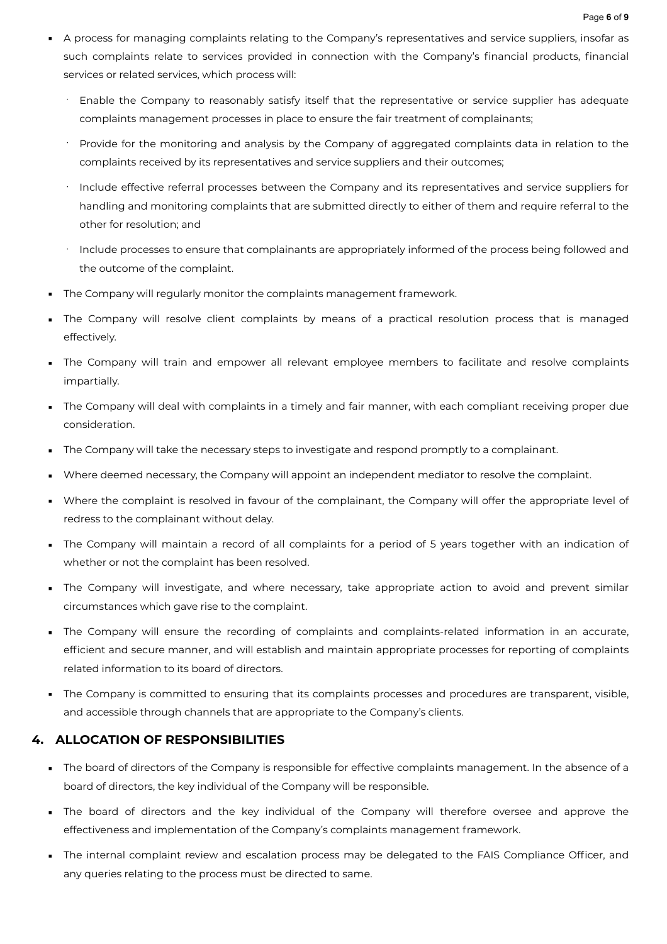- A process for managing complaints relating to the Company's representatives and service suppliers, insofar as such complaints relate to services provided in connection with the Company's financial products, financial services or related services, which process will:
	- Enable the Company to reasonably satisfy itself that the representative or service supplier has adequate complaints management processes in place to ensure the fair treatment of complainants;
	- · Provide for the monitoring and analysis by the Company of aggregated complaints data in relation to the complaints received by its representatives and service suppliers and their outcomes;
	- · Include effective referral processes between the Company and its representatives and service suppliers for handling and monitoring complaints that are submitted directly to either of them and require referral to the other for resolution; and
	- · Include processes to ensure that complainants are appropriately informed of the process being followed and the outcome of the complaint.
- **•** The Company will regularly monitor the complaints management framework.
- The Company will resolve client complaints by means of a practical resolution process that is managed effectively.
- The Company will train and empower all relevant employee members to facilitate and resolve complaints impartially.
- The Company will deal with complaints in a timely and fair manner, with each compliant receiving proper due consideration.
- The Company will take the necessary steps to investigate and respond promptly to a complainant.
- Where deemed necessary, the Company will appoint an independent mediator to resolve the complaint.
- Where the complaint is resolved in favour of the complainant, the Company will offer the appropriate level of redress to the complainant without delay.
- The Company will maintain a record of all complaints for a period of 5 years together with an indication of whether or not the complaint has been resolved.
- The Company will investigate, and where necessary, take appropriate action to avoid and prevent similar circumstances which gave rise to the complaint.
- The Company will ensure the recording of complaints and complaints-related information in an accurate, efficient and secure manner, and will establish and maintain appropriate processes for reporting of complaints related information to its board of directors.
- The Company is committed to ensuring that its complaints processes and procedures are transparent, visible, and accessible through channels that are appropriate to the Company's clients.

# <span id="page-5-0"></span>**4. ALLOCATION OF RESPONSIBILITIES**

- The board of directors of the Company is responsible for effective complaints management. In the absence of a board of directors, the key individual of the Company will be responsible.
- The board of directors and the key individual of the Company will therefore oversee and approve the effectiveness and implementation of the Company's complaints management framework.
- The internal complaint review and escalation process may be delegated to the FAIS Compliance Officer, and any queries relating to the process must be directed to same.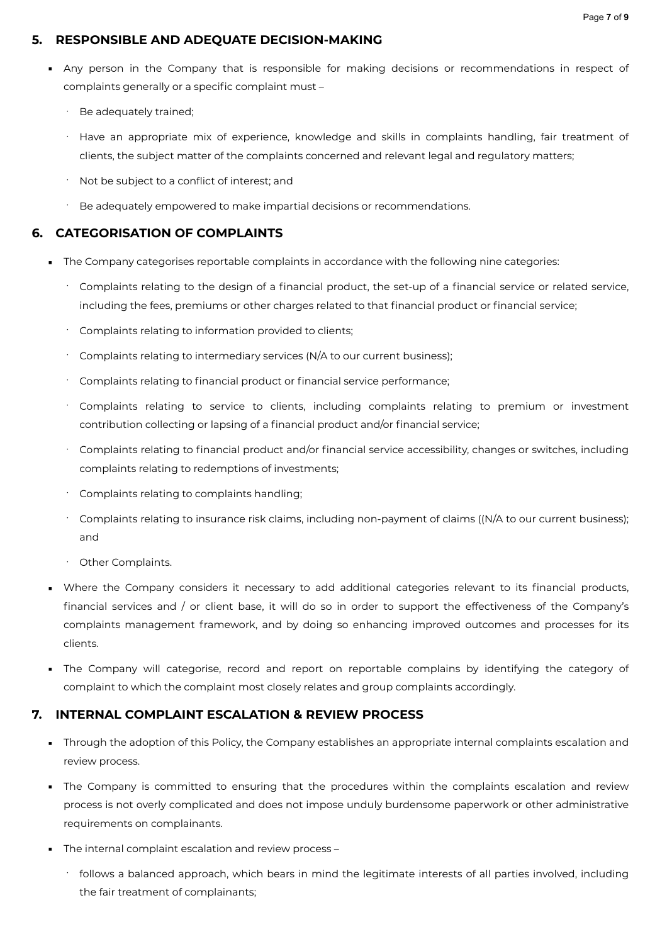#### <span id="page-6-0"></span>**5. RESPONSIBLE AND ADEQUATE DECISION-MAKING**

- Any person in the Company that is responsible for making decisions or recommendations in respect of complaints generally or a specific complaint must –
	- Be adequately trained;
	- Have an appropriate mix of experience, knowledge and skills in complaints handling, fair treatment of clients, the subject matter of the complaints concerned and relevant legal and regulatory matters;
	- Not be subject to a conflict of interest; and
	- Be adequately empowered to make impartial decisions or recommendations.

### <span id="page-6-1"></span>**6. CATEGORISATION OF COMPLAINTS**

- **The Company categorises reportable complaints in accordance with the following nine categories:** 
	- Complaints relating to the design of a financial product, the set-up of a financial service or related service, including the fees, premiums or other charges related to that financial product or financial service;
	- Complaints relating to information provided to clients;
	- Complaints relating to intermediary services (N/A to our current business);
	- · Complaints relating to financial product or financial service performance;
	- Complaints relating to service to clients, including complaints relating to premium or investment contribution collecting or lapsing of a financial product and/or financial service;
	- Complaints relating to financial product and/or financial service accessibility, changes or switches, including complaints relating to redemptions of investments;
	- · Complaints relating to complaints handling;
	- · Complaints relating to insurance risk claims, including non-payment of claims ((N/A to our current business); and
	- Other Complaints.
- Where the Company considers it necessary to add additional categories relevant to its financial products, financial services and / or client base, it will do so in order to support the effectiveness of the Company's complaints management framework, and by doing so enhancing improved outcomes and processes for its clients.
- The Company will categorise, record and report on reportable complains by identifying the category of complaint to which the complaint most closely relates and group complaints accordingly.

#### <span id="page-6-2"></span>**7. INTERNAL COMPLAINT ESCALATION & REVIEW PROCESS**

- **•** Through the adoption of this Policy, the Company establishes an appropriate internal complaints escalation and review process.
- The Company is committed to ensuring that the procedures within the complaints escalation and review process is not overly complicated and does not impose unduly burdensome paperwork or other administrative requirements on complainants.
- **The internal complaint escalation and review process -**
	- · follows a balanced approach, which bears in mind the legitimate interests of all parties involved, including the fair treatment of complainants;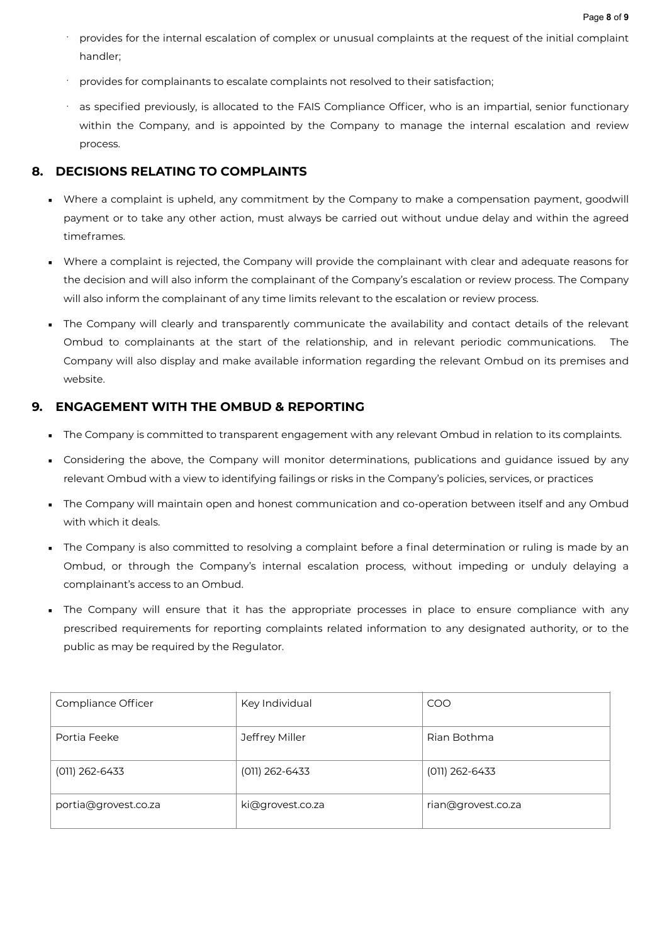- · provides for the internal escalation of complex or unusual complaints at the request of the initial complaint handler;
- · provides for complainants to escalate complaints not resolved to their satisfaction;
- as specified previously, is allocated to the FAIS Compliance Officer, who is an impartial, senior functionary within the Company, and is appointed by the Company to manage the internal escalation and review process.

# <span id="page-7-0"></span>**8. DECISIONS RELATING TO COMPLAINTS**

- **•** Where a complaint is upheld, any commitment by the Company to make a compensation payment, goodwill payment or to take any other action, must always be carried out without undue delay and within the agreed timeframes.
- Where a complaint is rejected, the Company will provide the complainant with clear and adequate reasons for the decision and will also inform the complainant of the Company's escalation or review process. The Company will also inform the complainant of any time limits relevant to the escalation or review process.
- . The Company will clearly and transparently communicate the availability and contact details of the relevant Ombud to complainants at the start of the relationship, and in relevant periodic communications. The Company will also display and make available information regarding the relevant Ombud on its premises and website.

# <span id="page-7-1"></span>**9. ENGAGEMENT WITH THE OMBUD & REPORTING**

- The Company is committed to transparent engagement with any relevant Ombud in relation to its complaints.
- **•** Considering the above, the Company will monitor determinations, publications and guidance issued by any relevant Ombud with a view to identifying failings or risks in the Company's policies, services, or practices
- **•** The Company will maintain open and honest communication and co-operation between itself and any Ombud with which it deals.
- The Company is also committed to resolving a complaint before a final determination or ruling is made by an Ombud, or through the Company's internal escalation process, without impeding or unduly delaying a complainant's access to an Ombud.
- **The Company will ensure that it has the appropriate processes in place to ensure compliance with any** prescribed requirements for reporting complaints related information to any designated authority, or to the public as may be required by the Regulator.

| Compliance Officer   | Key Individual   | COO                |
|----------------------|------------------|--------------------|
| Portia Feeke         | Jeffrey Miller   | Rian Bothma        |
| $(011)$ 262-6433     | $(011)$ 262-6433 | $(011)$ 262-6433   |
| portia@grovest.co.za | ki@grovest.co.za | rian@grovest.co.za |